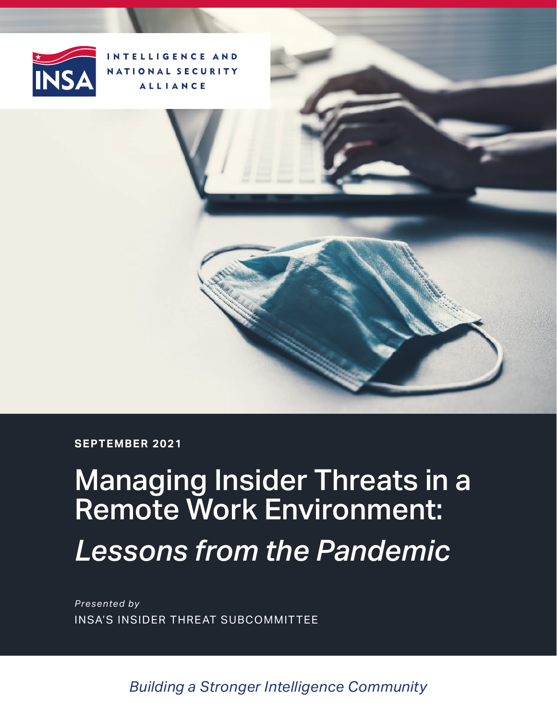

INTELLIGENCE AND NATIONAL SECURITY **ALLIANCE** 

**SEPTEMBER 2021**

# Managing Insider Threats in a Remote Work Environment: *Lessons from the Pandemic*

*Presented by* INSA'S INSIDER THREAT SUBCOMMITTEE

*Building a Stronger Intelligence Community*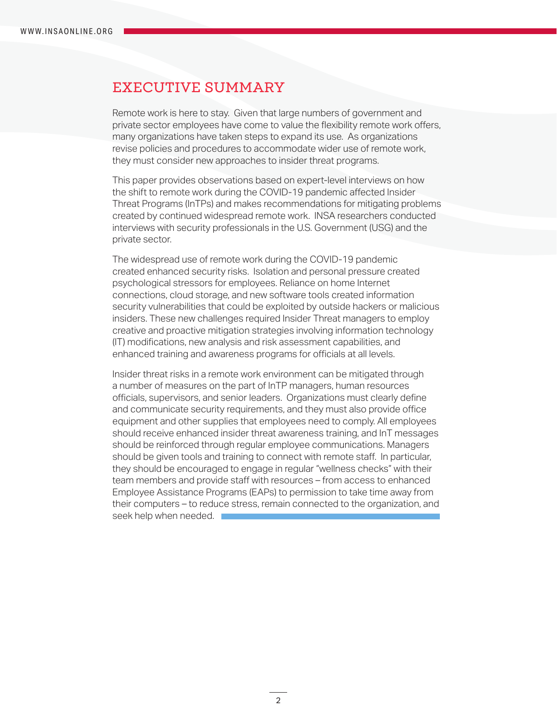### EXECUTIVE SUMMARY

Remote work is here to stay. Given that large numbers of government and private sector employees have come to value the flexibility remote work offers, many organizations have taken steps to expand its use. As organizations revise policies and procedures to accommodate wider use of remote work, they must consider new approaches to insider threat programs.

This paper provides observations based on expert-level interviews on how the shift to remote work during the COVID-19 pandemic affected Insider Threat Programs (InTPs) and makes recommendations for mitigating problems created by continued widespread remote work. INSA researchers conducted interviews with security professionals in the U.S. Government (USG) and the private sector.

The widespread use of remote work during the COVID-19 pandemic created enhanced security risks. Isolation and personal pressure created psychological stressors for employees. Reliance on home Internet connections, cloud storage, and new software tools created information security vulnerabilities that could be exploited by outside hackers or malicious insiders. These new challenges required Insider Threat managers to employ creative and proactive mitigation strategies involving information technology (IT) modifications, new analysis and risk assessment capabilities, and enhanced training and awareness programs for officials at all levels.

Insider threat risks in a remote work environment can be mitigated through a number of measures on the part of InTP managers, human resources officials, supervisors, and senior leaders. Organizations must clearly define and communicate security requirements, and they must also provide office equipment and other supplies that employees need to comply. All employees should receive enhanced insider threat awareness training, and InT messages should be reinforced through regular employee communications. Managers should be given tools and training to connect with remote staff. In particular, they should be encouraged to engage in regular "wellness checks" with their team members and provide staff with resources – from access to enhanced Employee Assistance Programs (EAPs) to permission to take time away from their computers – to reduce stress, remain connected to the organization, and seek help when needed.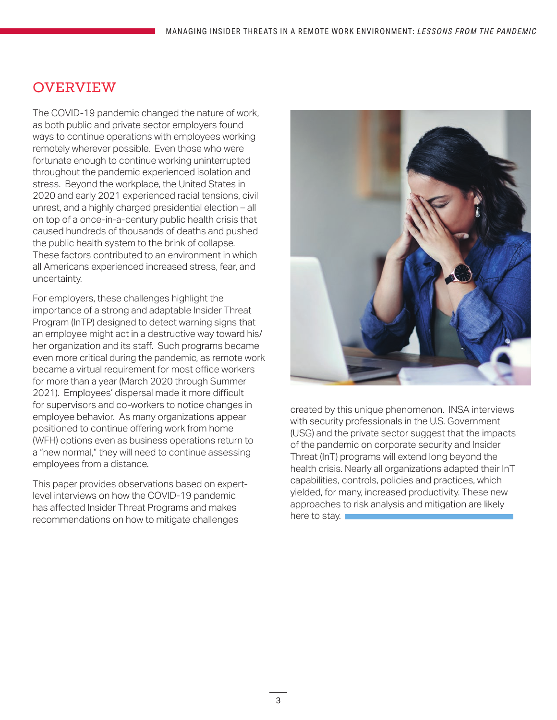# OVERVIEW

The COVID-19 pandemic changed the nature of work, as both public and private sector employers found ways to continue operations with employees working remotely wherever possible. Even those who were fortunate enough to continue working uninterrupted throughout the pandemic experienced isolation and stress. Beyond the workplace, the United States in 2020 and early 2021 experienced racial tensions, civil unrest, and a highly charged presidential election – all on top of a once-in-a-century public health crisis that caused hundreds of thousands of deaths and pushed the public health system to the brink of collapse. These factors contributed to an environment in which all Americans experienced increased stress, fear, and uncertainty.

For employers, these challenges highlight the importance of a strong and adaptable Insider Threat Program (InTP) designed to detect warning signs that an employee might act in a destructive way toward his/ her organization and its staff. Such programs became even more critical during the pandemic, as remote work became a virtual requirement for most office workers for more than a year (March 2020 through Summer 2021). Employees' dispersal made it more difficult for supervisors and co-workers to notice changes in employee behavior. As many organizations appear positioned to continue offering work from home (WFH) options even as business operations return to a "new normal," they will need to continue assessing employees from a distance.

This paper provides observations based on expertlevel interviews on how the COVID-19 pandemic has affected Insider Threat Programs and makes recommendations on how to mitigate challenges



created by this unique phenomenon. INSA interviews with security professionals in the U.S. Government (USG) and the private sector suggest that the impacts of the pandemic on corporate security and Insider Threat (InT) programs will extend long beyond the health crisis. Nearly all organizations adapted their InT capabilities, controls, policies and practices, which yielded, for many, increased productivity. These new approaches to risk analysis and mitigation are likely here to stay.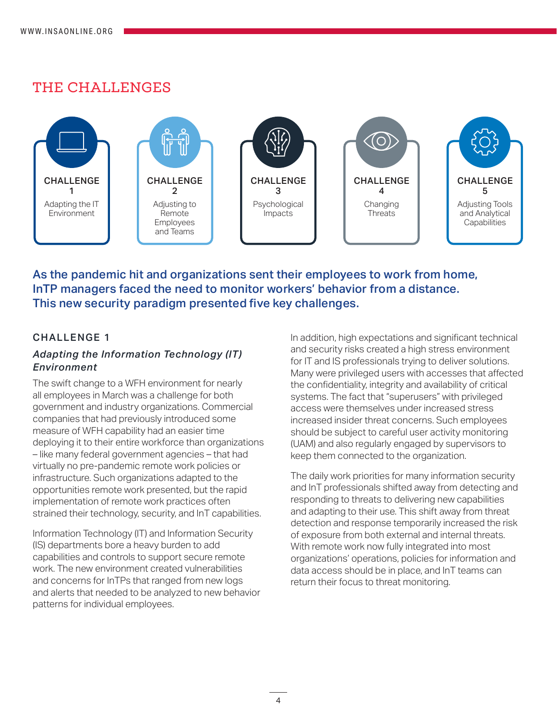## THE CHALLENGES



As the pandemic hit and organizations sent their employees to work from home, InTP managers faced the need to monitor workers' behavior from a distance. This new security paradigm presented five key challenges.

#### CHALLENGE 1

#### *Adapting the Information Technology (IT) Environment*

The swift change to a WFH environment for nearly all employees in March was a challenge for both government and industry organizations. Commercial companies that had previously introduced some measure of WFH capability had an easier time deploying it to their entire workforce than organizations – like many federal government agencies – that had virtually no pre-pandemic remote work policies or infrastructure. Such organizations adapted to the opportunities remote work presented, but the rapid implementation of remote work practices often strained their technology, security, and InT capabilities.

Information Technology (IT) and Information Security (IS) departments bore a heavy burden to add capabilities and controls to support secure remote work. The new environment created vulnerabilities and concerns for InTPs that ranged from new logs and alerts that needed to be analyzed to new behavior patterns for individual employees.

In addition, high expectations and significant technical and security risks created a high stress environment for IT and IS professionals trying to deliver solutions. Many were privileged users with accesses that affected the confidentiality, integrity and availability of critical systems. The fact that "superusers" with privileged access were themselves under increased stress increased insider threat concerns. Such employees should be subject to careful user activity monitoring (UAM) and also regularly engaged by supervisors to keep them connected to the organization.

The daily work priorities for many information security and InT professionals shifted away from detecting and responding to threats to delivering new capabilities and adapting to their use. This shift away from threat detection and response temporarily increased the risk of exposure from both external and internal threats. With remote work now fully integrated into most organizations' operations, policies for information and data access should be in place, and InT teams can return their focus to threat monitoring.

4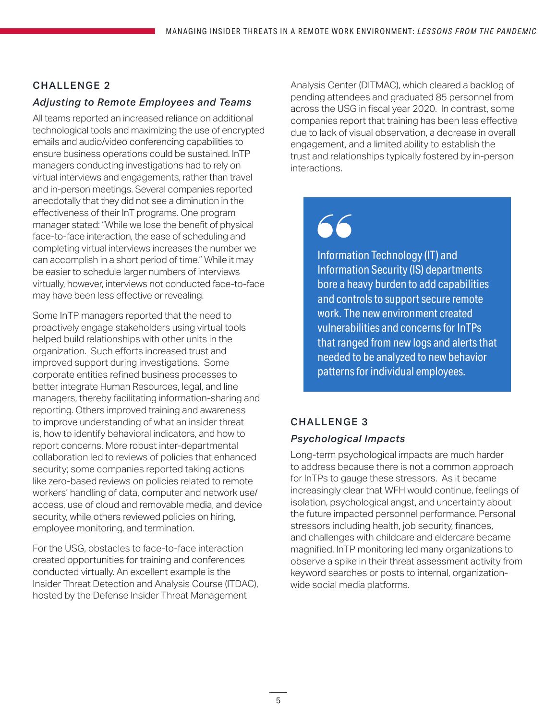### CHALLENGE 2

#### *Adjusting to Remote Employees and Teams*

All teams reported an increased reliance on additional technological tools and maximizing the use of encrypted emails and audio/video conferencing capabilities to ensure business operations could be sustained. InTP managers conducting investigations had to rely on virtual interviews and engagements, rather than travel and in-person meetings. Several companies reported anecdotally that they did not see a diminution in the effectiveness of their InT programs. One program manager stated: "While we lose the benefit of physical face-to-face interaction, the ease of scheduling and completing virtual interviews increases the number we can accomplish in a short period of time." While it may be easier to schedule larger numbers of interviews virtually, however, interviews not conducted face-to-face may have been less effective or revealing.

Some InTP managers reported that the need to proactively engage stakeholders using virtual tools helped build relationships with other units in the organization. Such efforts increased trust and improved support during investigations. Some corporate entities refined business processes to better integrate Human Resources, legal, and line managers, thereby facilitating information-sharing and reporting. Others improved training and awareness to improve understanding of what an insider threat is, how to identify behavioral indicators, and how to report concerns. More robust inter-departmental collaboration led to reviews of policies that enhanced security; some companies reported taking actions like zero-based reviews on policies related to remote workers' handling of data, computer and network use/ access, use of cloud and removable media, and device security, while others reviewed policies on hiring, employee monitoring, and termination.

For the USG, obstacles to face-to-face interaction created opportunities for training and conferences conducted virtually. An excellent example is the Insider Threat Detection and Analysis Course (ITDAC), hosted by the Defense Insider Threat Management

Analysis Center (DITMAC), which cleared a backlog of pending attendees and graduated 85 personnel from across the USG in fiscal year 2020. In contrast, some companies report that training has been less effective due to lack of visual observation, a decrease in overall engagement, and a limited ability to establish the trust and relationships typically fostered by in-person interactions.

# 66

Information Technology (IT) and Information Security (IS) departments bore a heavy burden to add capabilities and controls to support secure remote work. The new environment created vulnerabilities and concerns for InTPs that ranged from new logs and alerts that needed to be analyzed to new behavior patterns for individual employees.

#### CHALLENGE 3

#### *Psychological Impacts*

Long-term psychological impacts are much harder to address because there is not a common approach for InTPs to gauge these stressors. As it became increasingly clear that WFH would continue, feelings of isolation, psychological angst, and uncertainty about the future impacted personnel performance. Personal stressors including health, job security, finances, and challenges with childcare and eldercare became magnified. InTP monitoring led many organizations to observe a spike in their threat assessment activity from keyword searches or posts to internal, organizationwide social media platforms.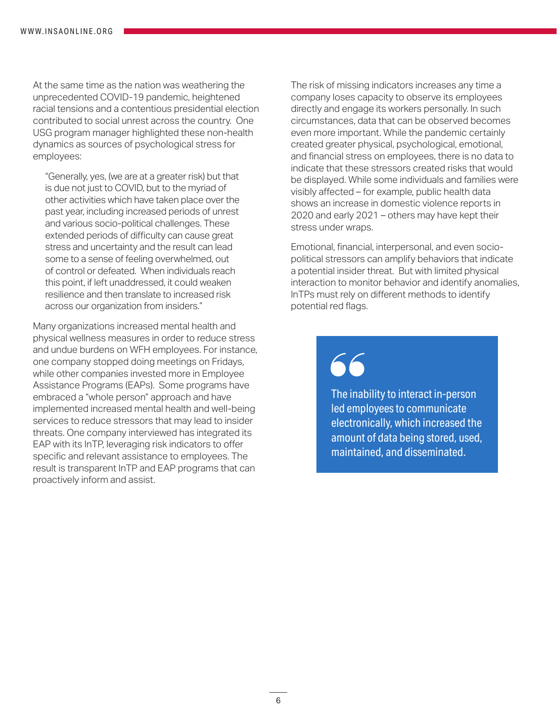At the same time as the nation was weathering the unprecedented COVID-19 pandemic, heightened racial tensions and a contentious presidential election contributed to social unrest across the country. One USG program manager highlighted these non-health dynamics as sources of psychological stress for employees:

"Generally, yes, (we are at a greater risk) but that is due not just to COVID, but to the myriad of other activities which have taken place over the past year, including increased periods of unrest and various socio-political challenges. These extended periods of difficulty can cause great stress and uncertainty and the result can lead some to a sense of feeling overwhelmed, out of control or defeated. When individuals reach this point, if left unaddressed, it could weaken resilience and then translate to increased risk across our organization from insiders."

Many organizations increased mental health and physical wellness measures in order to reduce stress and undue burdens on WFH employees. For instance, one company stopped doing meetings on Fridays, while other companies invested more in Employee Assistance Programs (EAPs). Some programs have embraced a "whole person" approach and have implemented increased mental health and well-being services to reduce stressors that may lead to insider threats. One company interviewed has integrated its EAP with its InTP, leveraging risk indicators to offer specific and relevant assistance to employees. The result is transparent InTP and EAP programs that can proactively inform and assist.

The risk of missing indicators increases any time a company loses capacity to observe its employees directly and engage its workers personally. In such circumstances, data that can be observed becomes even more important. While the pandemic certainly created greater physical, psychological, emotional, and financial stress on employees, there is no data to indicate that these stressors created risks that would be displayed. While some individuals and families were visibly affected – for example, public health data shows an increase in domestic violence reports in 2020 and early 2021 – others may have kept their stress under wraps.

Emotional, financial, interpersonal, and even sociopolitical stressors can amplify behaviors that indicate a potential insider threat. But with limited physical interaction to monitor behavior and identify anomalies, InTPs must rely on different methods to identify potential red flags.

The inability to interact in-person led employees to communicate electronically, which increased the amount of data being stored, used, maintained, and disseminated.

6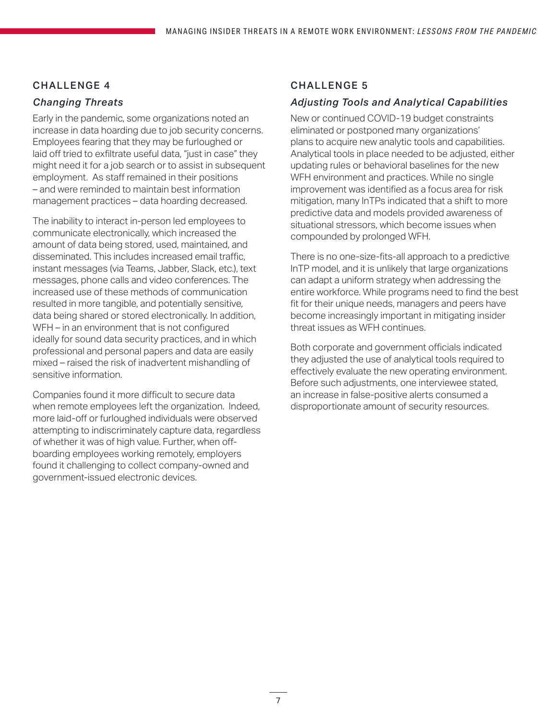#### CHALLENGE 4

#### *Changing Threats*

Early in the pandemic, some organizations noted an increase in data hoarding due to job security concerns. Employees fearing that they may be furloughed or laid off tried to exfiltrate useful data, "just in case" they might need it for a job search or to assist in subsequent employment. As staff remained in their positions – and were reminded to maintain best information management practices – data hoarding decreased.

The inability to interact in-person led employees to communicate electronically, which increased the amount of data being stored, used, maintained, and disseminated. This includes increased email traffic, instant messages (via Teams, Jabber, Slack, etc.), text messages, phone calls and video conferences. The increased use of these methods of communication resulted in more tangible, and potentially sensitive, data being shared or stored electronically. In addition, WFH – in an environment that is not configured ideally for sound data security practices, and in which professional and personal papers and data are easily mixed – raised the risk of inadvertent mishandling of sensitive information.

Companies found it more difficult to secure data when remote employees left the organization. Indeed, more laid-off or furloughed individuals were observed attempting to indiscriminately capture data, regardless of whether it was of high value. Further, when offboarding employees working remotely, employers found it challenging to collect company-owned and government-issued electronic devices.

#### CHALLENGE 5

#### *Adjusting Tools and Analytical Capabilities*

New or continued COVID-19 budget constraints eliminated or postponed many organizations' plans to acquire new analytic tools and capabilities. Analytical tools in place needed to be adjusted, either updating rules or behavioral baselines for the new WFH environment and practices. While no single improvement was identified as a focus area for risk mitigation, many InTPs indicated that a shift to more predictive data and models provided awareness of situational stressors, which become issues when compounded by prolonged WFH.

There is no one-size-fits-all approach to a predictive InTP model, and it is unlikely that large organizations can adapt a uniform strategy when addressing the entire workforce. While programs need to find the best fit for their unique needs, managers and peers have become increasingly important in mitigating insider threat issues as WFH continues.

Both corporate and government officials indicated they adjusted the use of analytical tools required to effectively evaluate the new operating environment. Before such adjustments, one interviewee stated, an increase in false-positive alerts consumed a disproportionate amount of security resources.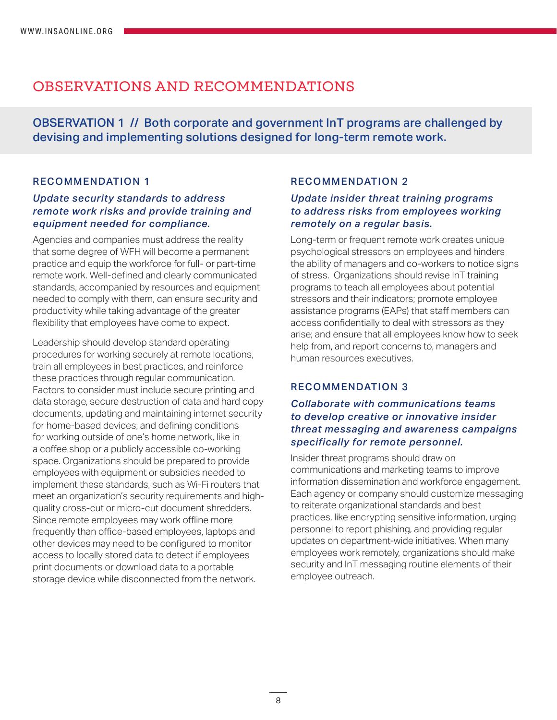# OBSERVATIONS AND RECOMMENDATIONS

OBSERVATION 1 // Both corporate and government InT programs are challenged by devising and implementing solutions designed for long-term remote work.

#### RECOMMENDATION 1

#### *Update security standards to address remote work risks and provide training and equipment needed for compliance.*

Agencies and companies must address the reality that some degree of WFH will become a permanent practice and equip the workforce for full- or part-time remote work. Well-defined and clearly communicated standards, accompanied by resources and equipment needed to comply with them, can ensure security and productivity while taking advantage of the greater flexibility that employees have come to expect.

Leadership should develop standard operating procedures for working securely at remote locations, train all employees in best practices, and reinforce these practices through regular communication. Factors to consider must include secure printing and data storage, secure destruction of data and hard copy documents, updating and maintaining internet security for home-based devices, and defining conditions for working outside of one's home network, like in a coffee shop or a publicly accessible co-working space. Organizations should be prepared to provide employees with equipment or subsidies needed to implement these standards, such as Wi-Fi routers that meet an organization's security requirements and highquality cross-cut or micro-cut document shredders. Since remote employees may work offline more frequently than office-based employees, laptops and other devices may need to be configured to monitor access to locally stored data to detect if employees print documents or download data to a portable storage device while disconnected from the network.

#### RECOMMENDATION 2

#### *Update insider threat training programs to address risks from employees working remotely on a regular basis.*

Long-term or frequent remote work creates unique psychological stressors on employees and hinders the ability of managers and co-workers to notice signs of stress. Organizations should revise InT training programs to teach all employees about potential stressors and their indicators; promote employee assistance programs (EAPs) that staff members can access confidentially to deal with stressors as they arise; and ensure that all employees know how to seek help from, and report concerns to, managers and human resources executives.

#### RECOMMENDATION 3

#### *Collaborate with communications teams to develop creative or innovative insider threat messaging and awareness campaigns specifically for remote personnel.*

Insider threat programs should draw on communications and marketing teams to improve information dissemination and workforce engagement. Each agency or company should customize messaging to reiterate organizational standards and best practices, like encrypting sensitive information, urging personnel to report phishing, and providing regular updates on department-wide initiatives. When many employees work remotely, organizations should make security and InT messaging routine elements of their employee outreach.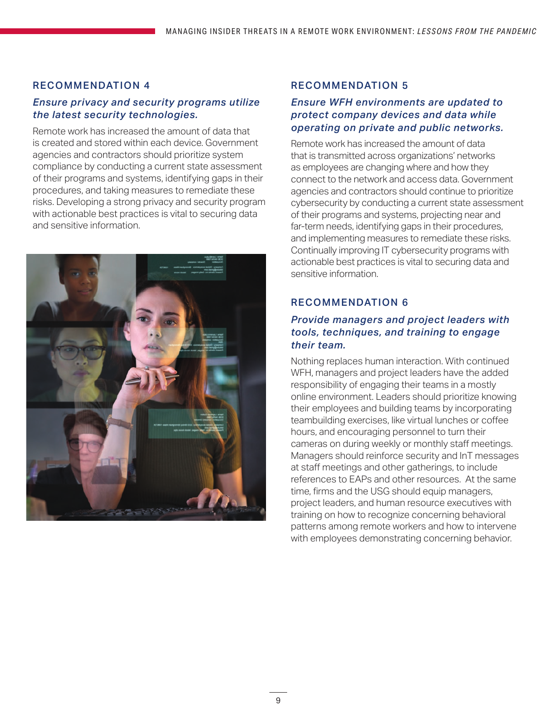#### RECOMMENDATION 4

#### *Ensure privacy and security programs utilize the latest security technologies.*

Remote work has increased the amount of data that is created and stored within each device. Government agencies and contractors should prioritize system compliance by conducting a current state assessment of their programs and systems, identifying gaps in their procedures, and taking measures to remediate these risks. Developing a strong privacy and security program with actionable best practices is vital to securing data and sensitive information.



#### RECOMMENDATION 5

#### *Ensure WFH environments are updated to protect company devices and data while operating on private and public networks.*

Remote work has increased the amount of data that is transmitted across organizations' networks as employees are changing where and how they connect to the network and access data. Government agencies and contractors should continue to prioritize cybersecurity by conducting a current state assessment of their programs and systems, projecting near and far-term needs, identifying gaps in their procedures, and implementing measures to remediate these risks. Continually improving IT cybersecurity programs with actionable best practices is vital to securing data and sensitive information.

#### RECOMMENDATION 6

#### *Provide managers and project leaders with tools, techniques, and training to engage their team.*

Nothing replaces human interaction. With continued WFH, managers and project leaders have the added responsibility of engaging their teams in a mostly online environment. Leaders should prioritize knowing their employees and building teams by incorporating teambuilding exercises, like virtual lunches or coffee hours, and encouraging personnel to turn their cameras on during weekly or monthly staff meetings. Managers should reinforce security and InT messages at staff meetings and other gatherings, to include references to EAPs and other resources. At the same time, firms and the USG should equip managers, project leaders, and human resource executives with training on how to recognize concerning behavioral patterns among remote workers and how to intervene with employees demonstrating concerning behavior.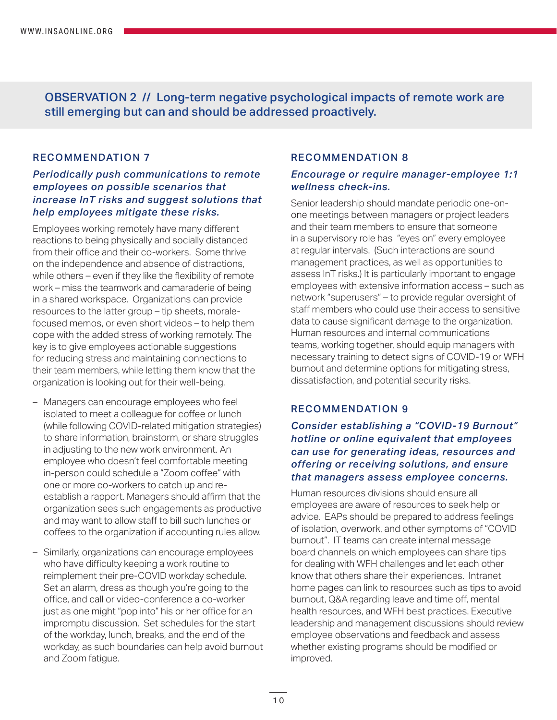OBSERVATION 2 // Long-term negative psychological impacts of remote work are still emerging but can and should be addressed proactively.

#### RECOMMENDATION 7

#### *Periodically push communications to remote employees on possible scenarios that increase InT risks and suggest solutions that help employees mitigate these risks.*

Employees working remotely have many different reactions to being physically and socially distanced from their office and their co-workers. Some thrive on the independence and absence of distractions, while others – even if they like the flexibility of remote work – miss the teamwork and camaraderie of being in a shared workspace. Organizations can provide resources to the latter group – tip sheets, moralefocused memos, or even short videos – to help them cope with the added stress of working remotely. The key is to give employees actionable suggestions for reducing stress and maintaining connections to their team members, while letting them know that the organization is looking out for their well-being.

- Managers can encourage employees who feel isolated to meet a colleague for coffee or lunch (while following COVID-related mitigation strategies) to share information, brainstorm, or share struggles in adjusting to the new work environment. An employee who doesn't feel comfortable meeting in-person could schedule a "Zoom coffee" with one or more co-workers to catch up and reestablish a rapport. Managers should affirm that the organization sees such engagements as productive and may want to allow staff to bill such lunches or coffees to the organization if accounting rules allow.
- Similarly, organizations can encourage employees who have difficulty keeping a work routine to reimplement their pre-COVID workday schedule. Set an alarm, dress as though you're going to the office, and call or video-conference a co-worker just as one might "pop into" his or her office for an impromptu discussion. Set schedules for the start of the workday, lunch, breaks, and the end of the workday, as such boundaries can help avoid burnout and Zoom fatigue.

#### RECOMMENDATION 8

#### *Encourage or require manager-employee 1:1 wellness check-ins.*

Senior leadership should mandate periodic one-onone meetings between managers or project leaders and their team members to ensure that someone in a supervisory role has "eyes on" every employee at regular intervals. (Such interactions are sound management practices, as well as opportunities to assess InT risks.) It is particularly important to engage employees with extensive information access – such as network "superusers" – to provide regular oversight of staff members who could use their access to sensitive data to cause significant damage to the organization. Human resources and internal communications teams, working together, should equip managers with necessary training to detect signs of COVID-19 or WFH burnout and determine options for mitigating stress, dissatisfaction, and potential security risks.

#### RECOMMENDATION 9

#### *Consider establishing a "COVID-19 Burnout" hotline or online equivalent that employees can use for generating ideas, resources and offering or receiving solutions, and ensure that managers assess employee concerns.*

Human resources divisions should ensure all employees are aware of resources to seek help or advice. EAPs should be prepared to address feelings of isolation, overwork, and other symptoms of "COVID burnout". IT teams can create internal message board channels on which employees can share tips for dealing with WFH challenges and let each other know that others share their experiences. Intranet home pages can link to resources such as tips to avoid burnout, Q&A regarding leave and time off, mental health resources, and WFH best practices. Executive leadership and management discussions should review employee observations and feedback and assess whether existing programs should be modified or improved.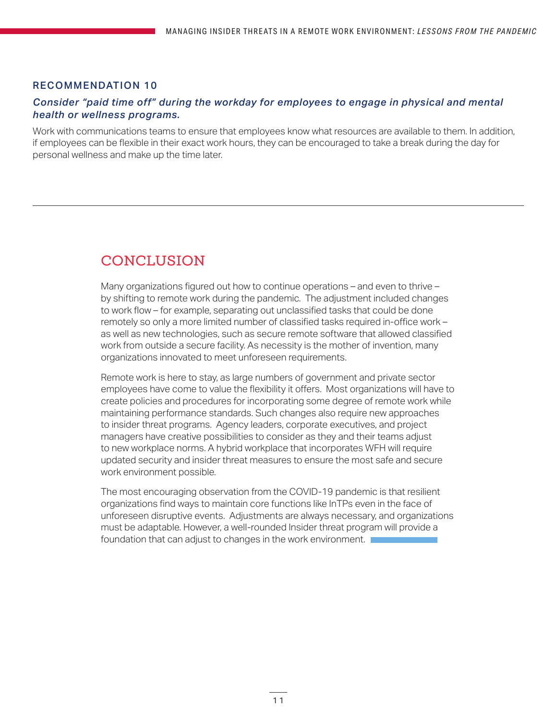#### RECOMMENDATION 10

#### *Consider "paid time off" during the workday for employees to engage in physical and mental health or wellness programs.*

Work with communications teams to ensure that employees know what resources are available to them. In addition, if employees can be flexible in their exact work hours, they can be encouraged to take a break during the day for personal wellness and make up the time later.

# CONCLUSION

Many organizations figured out how to continue operations – and even to thrive – by shifting to remote work during the pandemic. The adjustment included changes to work flow – for example, separating out unclassified tasks that could be done remotely so only a more limited number of classified tasks required in-office work – as well as new technologies, such as secure remote software that allowed classified work from outside a secure facility. As necessity is the mother of invention, many organizations innovated to meet unforeseen requirements.

Remote work is here to stay, as large numbers of government and private sector employees have come to value the flexibility it offers. Most organizations will have to create policies and procedures for incorporating some degree of remote work while maintaining performance standards. Such changes also require new approaches to insider threat programs. Agency leaders, corporate executives, and project managers have creative possibilities to consider as they and their teams adjust to new workplace norms. A hybrid workplace that incorporates WFH will require updated security and insider threat measures to ensure the most safe and secure work environment possible.

The most encouraging observation from the COVID-19 pandemic is that resilient organizations find ways to maintain core functions like InTPs even in the face of unforeseen disruptive events. Adjustments are always necessary, and organizations must be adaptable. However, a well-rounded Insider threat program will provide a foundation that can adjust to changes in the work environment.